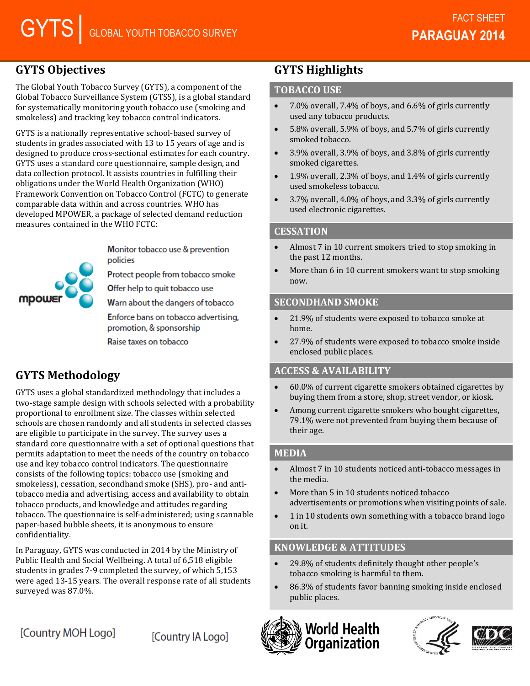## **GYTS Objectives**

The Global Youth Tobacco Survey (GYTS), a component of the Global Tobacco Surveillance System (GTSS), is a global standard for systematically monitoring youth tobacco use (smoking and smokeless) and tracking key tobacco control indicators.

GYTS is a nationally representative school-based survey of students in grades associated with 13 to 15 years of age and is designed to produce cross-sectional estimates for each country. GYTS uses a standard core questionnaire, sample design, and data collection protocol. It assists countries in fulfilling their obligations under the World Health Organization (WHO) Framework Convention on Tobacco Control (FCTC) to generate comparable data within and across countries. WHO has developed MPOWER, a package of selected demand reduction measures contained in the WHO FCTC:

mpows

Monitor tobacco use & prevention policies

Protect people from tobacco smoke

Offer help to quit tobacco use

Warn about the dangers of tobacco

Enforce bans on tobacco advertising, promotion, & sponsorship

Raise taxes on tobacco

# **GYTS Methodology**

GYTS uses a global standardized methodology that includes a two-stage sample design with schools selected with a probability proportional to enrollment size. The classes within selected schools are chosen randomly and all students in selected classes are eligible to participate in the survey. The survey uses a standard core questionnaire with a set of optional questions that permits adaptation to meet the needs of the country on tobacco use and key tobacco control indicators. The questionnaire consists of the following topics: tobacco use (smoking and smokeless), cessation, secondhand smoke (SHS), pro- and antitobacco media and advertising, access and availability to obtain tobacco products, and knowledge and attitudes regarding tobacco. The questionnaire is self-administered; using scannable paper-based bubble sheets, it is anonymous to ensure confidentiality.

In Paraguay, GYTS was conducted in 2014 by the Ministry of Public Health and Social Wellbeing. A total of 6,518 eligible students in grades 7-9 completed the survey, of which 5,153 were aged 13-15 years. The overall response rate of all students surveyed was 87.0%.

# [Country MOH Logo]

[Country IA Logo]

# **GYTS Highlights**

#### **TOBACCO USE**

- $\bullet$  7.0% overall, 7.4% of boys, and 6.6% of girls currently used any tobacco products.
- 5.8% overall, 5.9% of boys, and 5.7% of girls currently smoked tobacco.
- 3.9% overall, 3.9% of boys, and 3.8% of girls currently smoked cigarettes.
- 1.9% overall, 2.3% of boys, and 1.4% of girls currently used smokeless tobacco.
- 3.7% overall, 4.0% of boys, and 3.3% of girls currently used electronic cigarettes.

## **CESSATION**

- Almost 7 in 10 current smokers tried to stop smoking in the past 12 months.
- More than 6 in 10 current smokers want to stop smoking now.

## **SECONDHAND SMOKE**

- 21.9% of students were exposed to tobacco smoke at home.
- 27.9% of students were exposed to tobacco smoke inside enclosed public places.

## **ACCESS & AVAILABILITY**

- 60.0% of current cigarette smokers obtained cigarettes by buying them from a store, shop, street vendor, or kiosk.
- Among current cigarette smokers who bought cigarettes, 79.1% were not prevented from buying them because of their age.

## **MEDIA**

- Almost 7 in 10 students noticed anti-tobacco messages in the media.
- More than 5 in 10 students noticed tobacco advertisements or promotions when visiting points of sale.
- 1 in 10 students own something with a tobacco brand logo on it.

## **KNOWLEDGE & ATTITUDES**

- 29.8% of students definitely thought other people's tobacco smoking is harmful to them.
- 86.3% of students favor banning smoking inside enclosed public places.